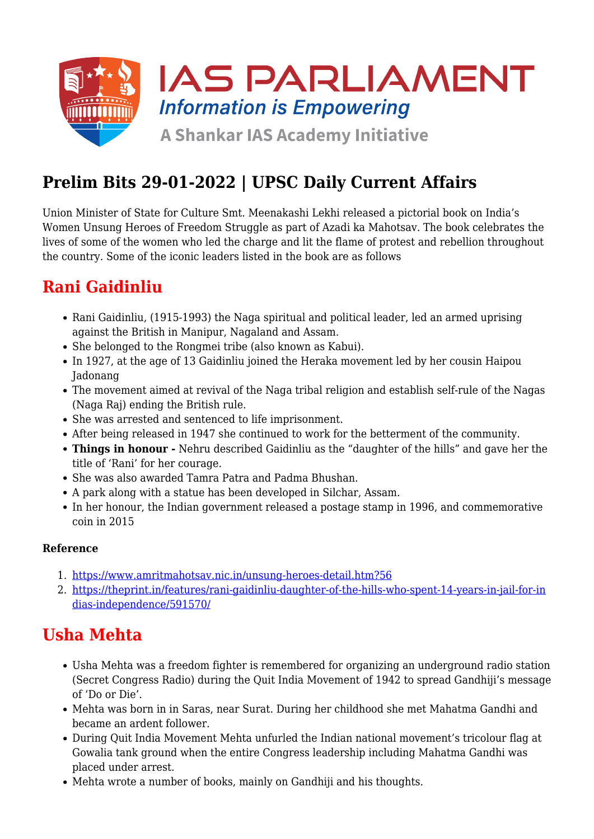

# **Prelim Bits 29-01-2022 | UPSC Daily Current Affairs**

Union Minister of State for Culture Smt. Meenakashi Lekhi released a pictorial book on India's Women Unsung Heroes of Freedom Struggle as part of Azadi ka Mahotsav. The book celebrates the lives of some of the women who led the charge and lit the flame of protest and rebellion throughout the country. Some of the iconic leaders listed in the book are as follows

## **Rani Gaidinliu**

- Rani Gaidinliu, (1915-1993) the Naga spiritual and political leader, led an armed uprising against the British in Manipur, Nagaland and Assam.
- She belonged to the Rongmei tribe (also known as Kabui).
- In 1927, at the age of 13 Gaidinliu joined the Heraka movement led by her cousin Haipou Jadonang
- The movement aimed at revival of the Naga tribal religion and establish self-rule of the Nagas (Naga Raj) ending the British rule.
- She was arrested and sentenced to life imprisonment.
- After being released in 1947 she continued to work for the betterment of the community.
- **Things in honour -** Nehru described Gaidinliu as the "daughter of the hills" and gave her the title of 'Rani' for her courage.
- She was also awarded Tamra Patra and Padma Bhushan.
- A park along with a statue has been developed in Silchar, Assam.
- In her honour, the Indian government released a postage stamp in 1996, and commemorative coin in 2015

#### **Reference**

- 1. <https://www.amritmahotsav.nic.in/unsung-heroes-detail.htm?56>
- 2. [https://theprint.in/features/rani-gaidinliu-daughter-of-the-hills-who-spent-14-years-in-jail-for-in](https://theprint.in/features/rani-gaidinliu-daughter-of-the-hills-who-spent-14-years-in-jail-for-indias-independence/591570/) [dias-independence/591570/](https://theprint.in/features/rani-gaidinliu-daughter-of-the-hills-who-spent-14-years-in-jail-for-indias-independence/591570/)

### **Usha Mehta**

- Usha Mehta was a freedom fighter is remembered for organizing an underground radio station (Secret Congress Radio) during the Quit India Movement of 1942 to spread Gandhiji's message of 'Do or Die'.
- Mehta was born in in Saras, near Surat. During her childhood she met Mahatma Gandhi and became an ardent follower.
- During Quit India Movement Mehta unfurled the Indian national movement's tricolour flag at Gowalia tank ground when the entire Congress leadership including Mahatma Gandhi was placed under arrest.
- Mehta wrote a number of books, mainly on Gandhiji and his thoughts.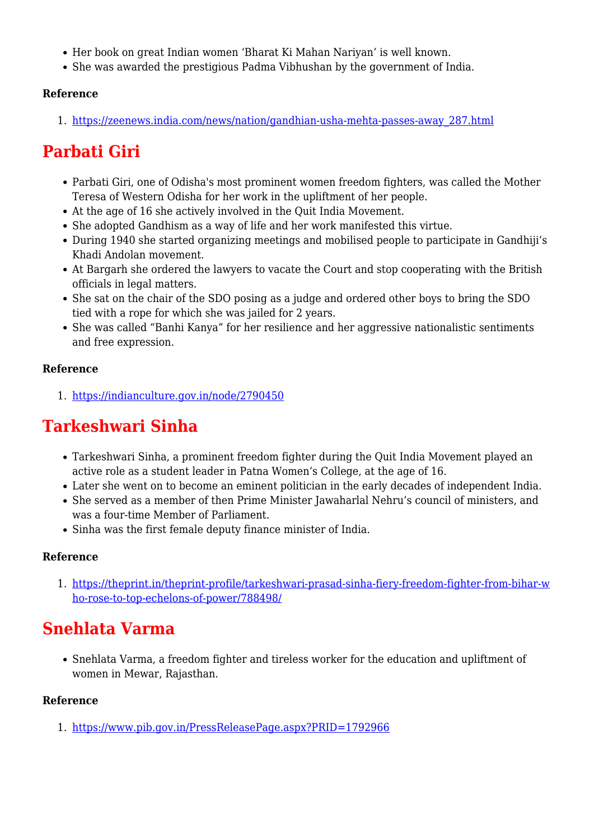- Her book on great Indian women 'Bharat Ki Mahan Nariyan' is well known.
- She was awarded the prestigious Padma Vibhushan by the government of India.

### **Reference**

1. [https://zeenews.india.com/news/nation/gandhian-usha-mehta-passes-away\\_287.html](https://zeenews.india.com/news/nation/gandhian-usha-mehta-passes-away_287.html)

## **Parbati Giri**

- Parbati Giri, one of Odisha's most prominent women freedom fighters, was called the Mother Teresa of Western Odisha for her work in the upliftment of her people.
- At the age of 16 she actively involved in the Quit India Movement.
- She adopted Gandhism as a way of life and her work manifested this virtue.
- During 1940 she started organizing meetings and mobilised people to participate in Gandhiji's Khadi Andolan movement.
- At Bargarh she ordered the lawyers to vacate the Court and stop cooperating with the British officials in legal matters.
- She sat on the chair of the SDO posing as a judge and ordered other boys to bring the SDO tied with a rope for which she was jailed for 2 years.
- She was called "Banhi Kanya" for her resilience and her aggressive nationalistic sentiments and free expression.

#### **Reference**

1. <https://indianculture.gov.in/node/2790450>

## **Tarkeshwari Sinha**

- Tarkeshwari Sinha, a prominent freedom fighter during the Quit India Movement played an active role as a student leader in Patna Women's College, at the age of 16.
- Later she went on to become an eminent politician in the early decades of independent India.
- She served as a member of then Prime Minister Jawaharlal Nehru's council of ministers, and was a four-time Member of Parliament.
- Sinha was the first female deputy finance minister of India.

### **Reference**

1. [https://theprint.in/theprint-profile/tarkeshwari-prasad-sinha-fiery-freedom-fighter-from-bihar-w](https://theprint.in/theprint-profile/tarkeshwari-prasad-sinha-fiery-freedom-fighter-from-bihar-who-rose-to-top-echelons-of-power/788498/) [ho-rose-to-top-echelons-of-power/788498/](https://theprint.in/theprint-profile/tarkeshwari-prasad-sinha-fiery-freedom-fighter-from-bihar-who-rose-to-top-echelons-of-power/788498/)

### **Snehlata Varma**

Snehlata Varma, a freedom fighter and tireless worker for the education and upliftment of women in Mewar, Rajasthan.

#### **Reference**

1. <https://www.pib.gov.in/PressReleasePage.aspx?PRID=1792966>